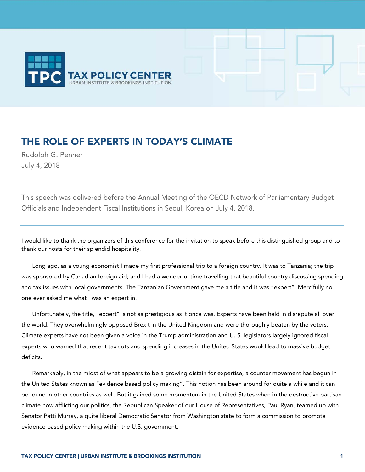

## THE ROLE OF EXPERTS IN TODAY'S CLIMATE

Rudolph G. Penner July 4, 2018

This speech was delivered before the Annual Meeting of the OECD Network of Parliamentary Budget Officials and Independent Fiscal Institutions in Seoul, Korea on July 4, 2018.

I would like to thank the organizers of this conference for the invitation to speak before this distinguished group and to thank our hosts for their splendid hospitality.

Long ago, as a young economist I made my first professional trip to a foreign country. It was to Tanzania; the trip was sponsored by Canadian foreign aid; and I had a wonderful time travelling that beautiful country discussing spending and tax issues with local governments. The Tanzanian Government gave me a title and it was "expert". Mercifully no one ever asked me what I was an expert in.

Unfortunately, the title, "expert" is not as prestigious as it once was. Experts have been held in disrepute all over the world. They overwhelmingly opposed Brexit in the United Kingdom and were thoroughly beaten by the voters. Climate experts have not been given a voice in the Trump administration and U. S. legislators largely ignored fiscal experts who warned that recent tax cuts and spending increases in the United States would lead to massive budget deficits.

Remarkably, in the midst of what appears to be a growing distain for expertise, a counter movement has begun in the United States known as "evidence based policy making". This notion has been around for quite a while and it can be found in other countries as well. But it gained some momentum in the United States when in the destructive partisan climate now afflicting our politics, the Republican Speaker of our House of Representatives, Paul Ryan, teamed up with Senator Patti Murray, a quite liberal Democratic Senator from Washington state to form a commission to promote evidence based policy making within the U.S. government.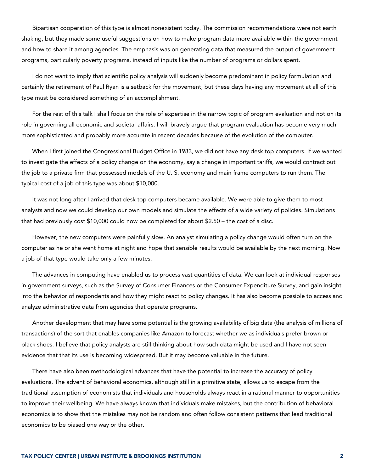Bipartisan cooperation of this type is almost nonexistent today. The commission recommendations were not earth shaking, but they made some useful suggestions on how to make program data more available within the government and how to share it among agencies. The emphasis was on generating data that measured the output of government programs, particularly poverty programs, instead of inputs like the number of programs or dollars spent.

I do not want to imply that scientific policy analysis will suddenly become predominant in policy formulation and certainly the retirement of Paul Ryan is a setback for the movement, but these days having any movement at all of this type must be considered something of an accomplishment.

For the rest of this talk I shall focus on the role of expertise in the narrow topic of program evaluation and not on its role in governing all economic and societal affairs. I will bravely argue that program evaluation has become very much more sophisticated and probably more accurate in recent decades because of the evolution of the computer.

When I first joined the Congressional Budget Office in 1983, we did not have any desk top computers. If we wanted to investigate the effects of a policy change on the economy, say a change in important tariffs, we would contract out the job to a private firm that possessed models of the U. S. economy and main frame computers to run them. The typical cost of a job of this type was about \$10,000.

It was not long after I arrived that desk top computers became available. We were able to give them to most analysts and now we could develop our own models and simulate the effects of a wide variety of policies. Simulations that had previously cost \$10,000 could now be completed for about \$2.50 – the cost of a disc.

However, the new computers were painfully slow. An analyst simulating a policy change would often turn on the computer as he or she went home at night and hope that sensible results would be available by the next morning. Now a job of that type would take only a few minutes.

The advances in computing have enabled us to process vast quantities of data. We can look at individual responses in government surveys, such as the Survey of Consumer Finances or the Consumer Expenditure Survey, and gain insight into the behavior of respondents and how they might react to policy changes. It has also become possible to access and analyze administrative data from agencies that operate programs.

Another development that may have some potential is the growing availability of big data (the analysis of millions of transactions) of the sort that enables companies like Amazon to forecast whether we as individuals prefer brown or black shoes. I believe that policy analysts are still thinking about how such data might be used and I have not seen evidence that that its use is becoming widespread. But it may become valuable in the future.

There have also been methodological advances that have the potential to increase the accuracy of policy evaluations. The advent of behavioral economics, although still in a primitive state, allows us to escape from the traditional assumption of economists that individuals and households always react in a rational manner to opportunities to improve their wellbeing. We have always known that individuals make mistakes, but the contribution of behavioral economics is to show that the mistakes may not be random and often follow consistent patterns that lead traditional economics to be biased one way or the other.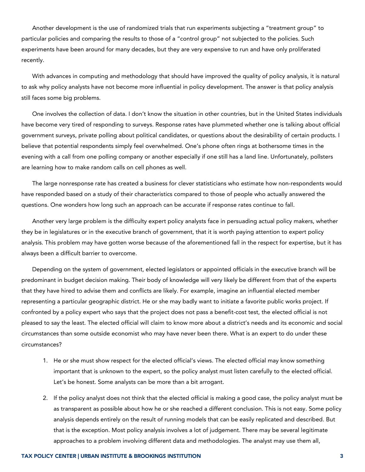Another development is the use of randomized trials that run experiments subjecting a "treatment group" to particular policies and comparing the results to those of a "control group" not subjected to the policies. Such experiments have been around for many decades, but they are very expensive to run and have only proliferated recently.

With advances in computing and methodology that should have improved the quality of policy analysis, it is natural to ask why policy analysts have not become more influential in policy development. The answer is that policy analysis still faces some big problems.

One involves the collection of data. I don't know the situation in other countries, but in the United States individuals have become very tired of responding to surveys. Response rates have plummeted whether one is talking about official government surveys, private polling about political candidates, or questions about the desirability of certain products. I believe that potential respondents simply feel overwhelmed. One's phone often rings at bothersome times in the evening with a call from one polling company or another especially if one still has a land line. Unfortunately, pollsters are learning how to make random calls on cell phones as well.

The large nonresponse rate has created a business for clever statisticians who estimate how non-respondents would have responded based on a study of their characteristics compared to those of people who actually answered the questions. One wonders how long such an approach can be accurate if response rates continue to fall.

Another very large problem is the difficulty expert policy analysts face in persuading actual policy makers, whether they be in legislatures or in the executive branch of government, that it is worth paying attention to expert policy analysis. This problem may have gotten worse because of the aforementioned fall in the respect for expertise, but it has always been a difficult barrier to overcome.

Depending on the system of government, elected legislators or appointed officials in the executive branch will be predominant in budget decision making. Their body of knowledge will very likely be different from that of the experts that they have hired to advise them and conflicts are likely. For example, imagine an influential elected member representing a particular geographic district. He or she may badly want to initiate a favorite public works project. If confronted by a policy expert who says that the project does not pass a benefit-cost test, the elected official is not pleased to say the least. The elected official will claim to know more about a district's needs and its economic and social circumstances than some outside economist who may have never been there. What is an expert to do under these circumstances?

- 1. He or she must show respect for the elected official's views. The elected official may know something important that is unknown to the expert, so the policy analyst must listen carefully to the elected official. Let's be honest. Some analysts can be more than a bit arrogant.
- 2. If the policy analyst does not think that the elected official is making a good case, the policy analyst must be as transparent as possible about how he or she reached a different conclusion. This is not easy. Some policy analysis depends entirely on the result of running models that can be easily replicated and described. But that is the exception. Most policy analysis involves a lot of judgement. There may be several legitimate approaches to a problem involving different data and methodologies. The analyst may use them all,

## TAX POLICY CENTER | URBAN INSTITUTE & BROOKINGS INSTITUTION 3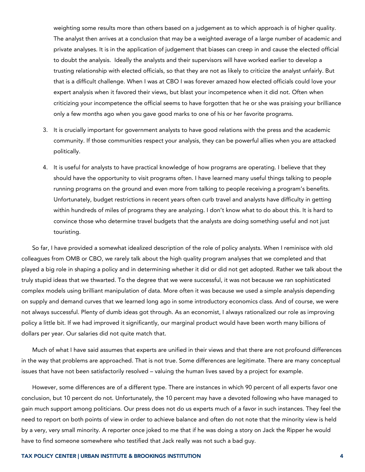weighting some results more than others based on a judgement as to which approach is of higher quality. The analyst then arrives at a conclusion that may be a weighted average of a large number of academic and private analyses. It is in the application of judgement that biases can creep in and cause the elected official to doubt the analysis. Ideally the analysts and their supervisors will have worked earlier to develop a trusting relationship with elected officials, so that they are not as likely to criticize the analyst unfairly. But that is a difficult challenge. When I was at CBO I was forever amazed how elected officials could love your expert analysis when it favored their views, but blast your incompetence when it did not. Often when criticizing your incompetence the official seems to have forgotten that he or she was praising your brilliance only a few months ago when you gave good marks to one of his or her favorite programs.

- 3. It is crucially important for government analysts to have good relations with the press and the academic community. If those communities respect your analysis, they can be powerful allies when you are attacked politically.
- 4. It is useful for analysts to have practical knowledge of how programs are operating. I believe that they should have the opportunity to visit programs often. I have learned many useful things talking to people running programs on the ground and even more from talking to people receiving a program's benefits. Unfortunately, budget restrictions in recent years often curb travel and analysts have difficulty in getting within hundreds of miles of programs they are analyzing. I don't know what to do about this. It is hard to convince those who determine travel budgets that the analysts are doing something useful and not just touristing.

So far, I have provided a somewhat idealized description of the role of policy analysts. When I reminisce with old colleagues from OMB or CBO, we rarely talk about the high quality program analyses that we completed and that played a big role in shaping a policy and in determining whether it did or did not get adopted. Rather we talk about the truly stupid ideas that we thwarted. To the degree that we were successful, it was not because we ran sophisticated complex models using brilliant manipulation of data. More often it was because we used a simple analysis depending on supply and demand curves that we learned long ago in some introductory economics class. And of course, we were not always successful. Plenty of dumb ideas got through. As an economist, I always rationalized our role as improving policy a little bit. If we had improved it significantly, our marginal product would have been worth many billions of dollars per year. Our salaries did not quite match that.

Much of what I have said assumes that experts are unified in their views and that there are not profound differences in the way that problems are approached. That is not true. Some differences are legitimate. There are many conceptual issues that have not been satisfactorily resolved – valuing the human lives saved by a project for example.

However, some differences are of a different type. There are instances in which 90 percent of all experts favor one conclusion, but 10 percent do not. Unfortunately, the 10 percent may have a devoted following who have managed to gain much support among politicians. Our press does not do us experts much of a favor in such instances. They feel the need to report on both points of view in order to achieve balance and often do not note that the minority view is held by a very, very small minority. A reporter once joked to me that if he was doing a story on Jack the Ripper he would have to find someone somewhere who testified that Jack really was not such a bad guy.

## TAX POLICY CENTER | URBAN INSTITUTE & BROOKINGS INSTITUTION 4